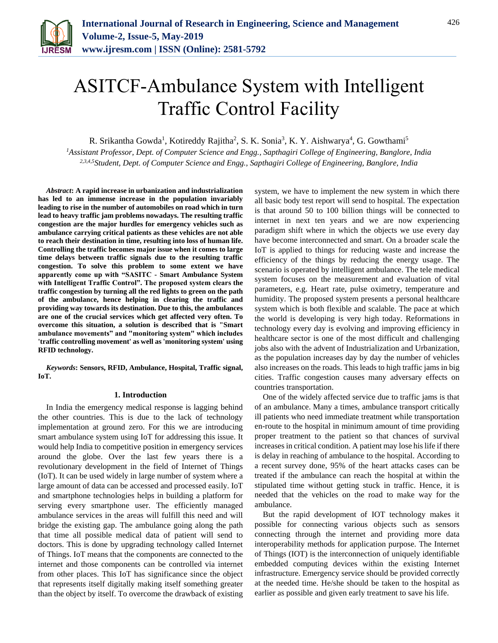

# ASITCF-Ambulance System with Intelligent Traffic Control Facility

R. Srikantha Gowda<sup>1</sup>, Kotireddy Rajitha<sup>2</sup>, S. K. Sonia<sup>3</sup>, K. Y. Aishwarya<sup>4</sup>, G. Gowthami<sup>5</sup>

*<sup>1</sup>Assistant Professor, Dept. of Computer Science and Engg., Sapthagiri College of Engineering, Banglore, India 2,3,4,5Student, Dept. of Computer Science and Engg., Sapthagiri College of Engineering, Banglore, India*

*Abstract***: A rapid increase in urbanization and industrialization has led to an immense increase in the population invariably leading to rise in the number of automobiles on road which in turn lead to heavy traffic jam problems nowadays. The resulting traffic congestion are the major hurdles for emergency vehicles such as ambulance carrying critical patients as these vehicles are not able to reach their destination in time, resulting into loss of human life. Controlling the traffic becomes major issue when it comes to large time delays between traffic signals due to the resulting traffic congestion. To solve this problem to some extent we have apparently come up with "SASITC - Smart Ambulance System with Intelligent Traffic Control". The proposed system clears the traffic congestion by turning all the red lights to green on the path of the ambulance, hence helping in clearing the traffic and providing way towards its destination. Due to this, the ambulances are one of the crucial services which get affected very often. To overcome this situation, a solution is described that is "Smart ambulance movements" and "monitoring system" which includes 'traffic controlling movement' as well as 'monitoring system' using RFID technology.**

*Keywords***: Sensors, RFID, Ambulance, Hospital, Traffic signal, IoT.**

#### **1. Introduction**

In India the emergency medical response is lagging behind the other countries. This is due to the lack of technology implementation at ground zero. For this we are introducing smart ambulance system using IoT for addressing this issue. It would help India to competitive position in emergency services around the globe. Over the last few years there is a revolutionary development in the field of Internet of Things (IoT). It can be used widely in large number of system where a large amount of data can be accessed and processed easily. IoT and smartphone technologies helps in building a platform for serving every smartphone user. The efficiently managed ambulance services in the areas will fulfill this need and will bridge the existing gap. The ambulance going along the path that time all possible medical data of patient will send to doctors. This is done by upgrading technology called Internet of Things. IoT means that the components are connected to the internet and those components can be controlled via internet from other places. This IoT has significance since the object that represents itself digitally making itself something greater than the object by itself. To overcome the drawback of existing

system, we have to implement the new system in which there all basic body test report will send to hospital. The expectation is that around 50 to 100 billion things will be connected to internet in next ten years and we are now experiencing paradigm shift where in which the objects we use every day have become interconnected and smart. On a broader scale the IoT is applied to things for reducing waste and increase the efficiency of the things by reducing the energy usage. The scenario is operated by intelligent ambulance. The tele medical system focuses on the measurement and evaluation of vital parameters, e.g. Heart rate, pulse oximetry, temperature and humidity. The proposed system presents a personal healthcare system which is both flexible and scalable. The pace at which the world is developing is very high today. Reformations in technology every day is evolving and improving efficiency in healthcare sector is one of the most difficult and challenging jobs also with the advent of Industrialization and Urbanization, as the population increases day by day the number of vehicles also increases on the roads. This leads to high traffic jams in big cities. Traffic congestion causes many adversary effects on countries transportation.

One of the widely affected service due to traffic jams is that of an ambulance. Many a times, ambulance transport critically ill patients who need immediate treatment while transportation en-route to the hospital in minimum amount of time providing proper treatment to the patient so that chances of survival increases in critical condition. A patient may lose his life if there is delay in reaching of ambulance to the hospital. According to a recent survey done, 95% of the heart attacks cases can be treated if the ambulance can reach the hospital at within the stipulated time without getting stuck in traffic. Hence, it is needed that the vehicles on the road to make way for the ambulance.

But the rapid development of IOT technology makes it possible for connecting various objects such as sensors connecting through the internet and providing more data interoperability methods for application purpose. The Internet of Things (IOT) is the interconnection of uniquely identifiable embedded computing devices within the existing Internet infrastructure. Emergency service should be provided correctly at the needed time. He/she should be taken to the hospital as earlier as possible and given early treatment to save his life.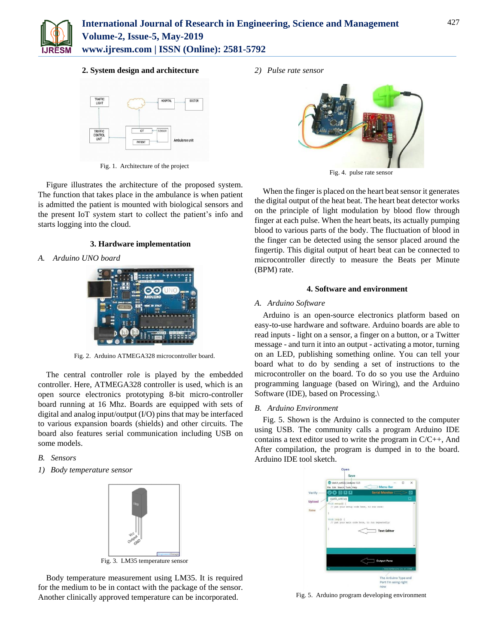

# **2. System design and architecture**



Fig. 1. Architecture of the project

Figure illustrates the architecture of the proposed system. The function that takes place in the ambulance is when patient is admitted the patient is mounted with biological sensors and the present IoT system start to collect the patient's info and starts logging into the cloud.

# **3. Hardware implementation**

*A. Arduino UNO board*



Fig. 2. Arduino ATMEGA328 microcontroller board.

The central controller role is played by the embedded controller. Here, ATMEGA328 controller is used, which is an open source electronics prototyping 8-bit micro-controller board running at 16 Mhz. Boards are equipped with sets of digital and analog input/output (I/O) pins that may be interfaced to various expansion boards (shields) and other circuits. The board also features serial communication including USB on some models.

*B. Sensors*

*1) Body temperature sensor* 



Fig. 3. LM35 temperature sensor

Body temperature measurement using LM35. It is required for the medium to be in contact with the package of the sensor. Another clinically approved temperature can be incorporated.

*2) Pulse rate sensor*



Fig. 4. pulse rate sensor

When the finger is placed on the heart beat sensor it generates the digital output of the heat beat. The heart beat detector works on the principle of light modulation by blood flow through finger at each pulse. When the heart beats, its actually pumping blood to various parts of the body. The fluctuation of blood in the finger can be detected using the sensor placed around the fingertip. This digital output of heart beat can be connected to microcontroller directly to measure the Beats per Minute (BPM) rate.

## **4. Software and environment**

## *A. Arduino Software*

Arduino is an open-source electronics platform based on easy-to-use hardware and software. Arduino boards are able to read inputs - light on a sensor, a finger on a button, or a Twitter message - and turn it into an output - activating a motor, turning on an LED, publishing something online. You can tell your board what to do by sending a set of instructions to the microcontroller on the board. To do so you use the Arduino programming language (based on Wiring), and the Arduino Software (IDE), based on Processing.\

# *B. Arduino Environment*

Fig. 5. Shown is the Arduino is connected to the computer using USB. The community calls a program Arduino IDE contains a text editor used to write the program in C/C++, And After compilation, the program is dumped in to the board. Arduino IDE tool sketch.



Fig. 5. Arduino program developing environment